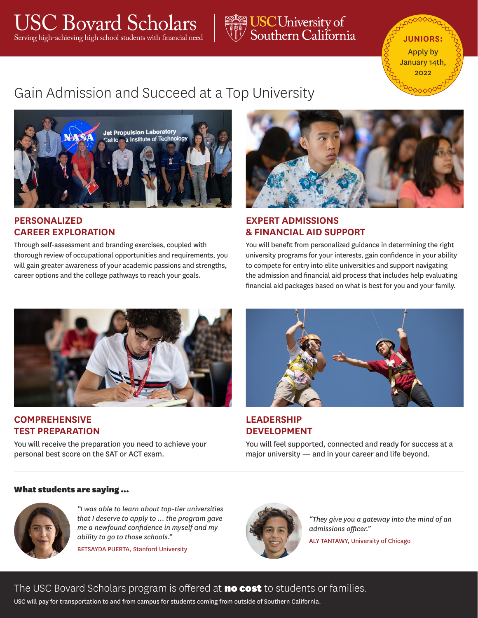### USC Bovard Scholars USC Bovard Scholars **Junior** Serving high-achieving high school students with financial need **Junior**s Southern California

# Apply by January 14th  $2022$

## Gain Admission and Succeed at a Top University



#### **PERSONALIZED CAREER EXPLORATION**

Through self-assessment and branding exercises, coupled with thorough review of occupational opportunities and requirements, you will gain greater awareness of your academic passions and strengths, career options and the college pathways to reach your goals.



### **EXPERT ADMISSIONS & FINANCIAL AID SUPPORT**

You will benefit from personalized guidance in determining the right university programs for your interests, gain confidence in your ability to compete for entry into elite universities and support navigating the admission and financial aid process that includes help evaluating financial aid packages based on what is best for you and your family.



#### **COMPREHENSIVE TEST PREPARATION**

You will receive the preparation you need to achieve your personal best score on the SAT or ACT exam.



**LEADERSHIP DEVELOPMENT**

You will feel supported, connected and ready for success at a major university — and in your career and life beyond.

#### What students are saying ...



*"I was able to learn about top-tier universities that I deserve to apply to … the program gave me a newfound confidence in myself and my ability to go to those schools."* 

BETSAYDA PUERTA, Stanford University



*"They give you a gateway into the mind of an admissions officer."*

ALY TANTAWY, University of Chicago

### The USC Bovard Scholars program is offered at no cost to students or families.

USC will pay for transportation to and from campus for students coming from outside of Southern California.